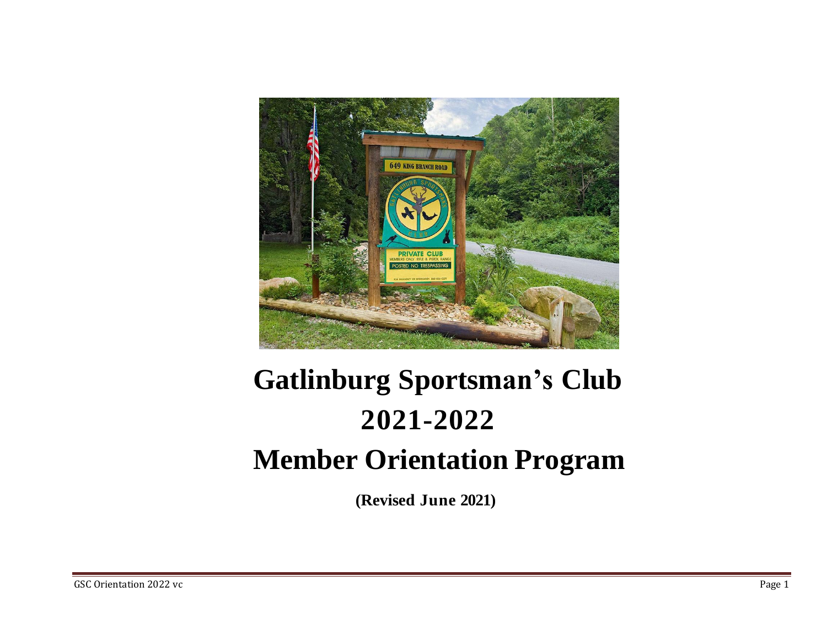

# **Gatlinburg Sportsman's Club 2021-2022 Member Orientation Program**

**(Revised June 2021)**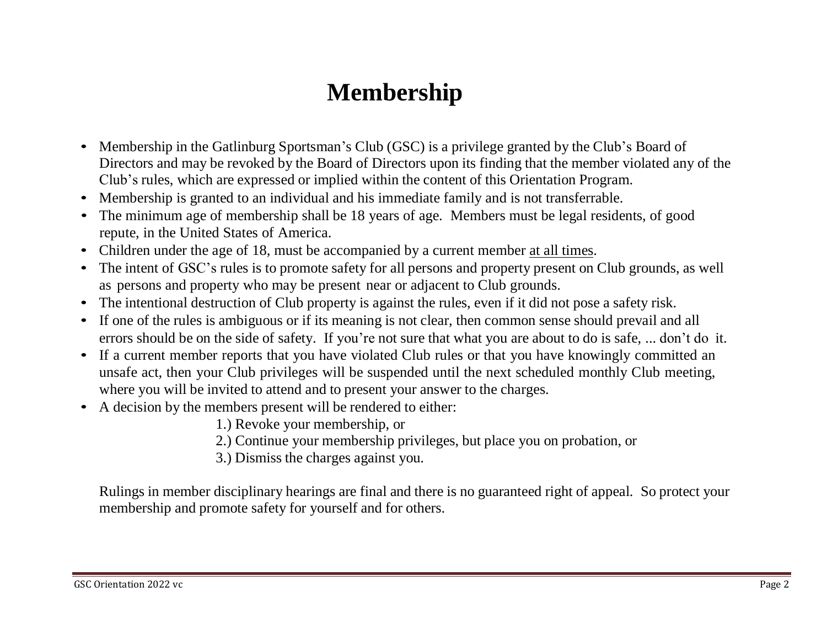#### **Membership**

- Membership in the Gatlinburg Sportsman's Club (GSC) is a privilege granted by the Club's Board of Directors and may be revoked by the Board of Directors upon its finding that the member violated any of the Club's rules, which are expressed or implied within the content of this Orientation Program.
- Membership is granted to an individual and his immediate family and is not transferrable.
- The minimum age of membership shall be 18 years of age. Members must be legal residents, of good repute, in the United States of America.
- Children under the age of 18, must be accompanied by a current member at all times.
- The intent of GSC's rules is to promote safety for all persons and property present on Club grounds, as well as persons and property who may be present near or adjacent to Club grounds.
- The intentional destruction of Club property is against the rules, even if it did not pose a safety risk.
- If one of the rules is ambiguous or if its meaning is not clear, then common sense should prevail and all errors should be on the side of safety. If you're not sure that what you are about to do is safe, ... don't do it.
- If a current member reports that you have violated Club rules or that you have knowingly committed an unsafe act, then your Club privileges will be suspended until the next scheduled monthly Club meeting, where you will be invited to attend and to present your answer to the charges.
- A decision by the members present will be rendered to either:
	- 1.) Revoke your membership, or
	- 2.) Continue your membership privileges, but place you on probation, or
	- 3.) Dismiss the charges against you.

Rulings in member disciplinary hearings are final and there is no guaranteed right of appeal. So protect your membership and promote safety for yourself and for others.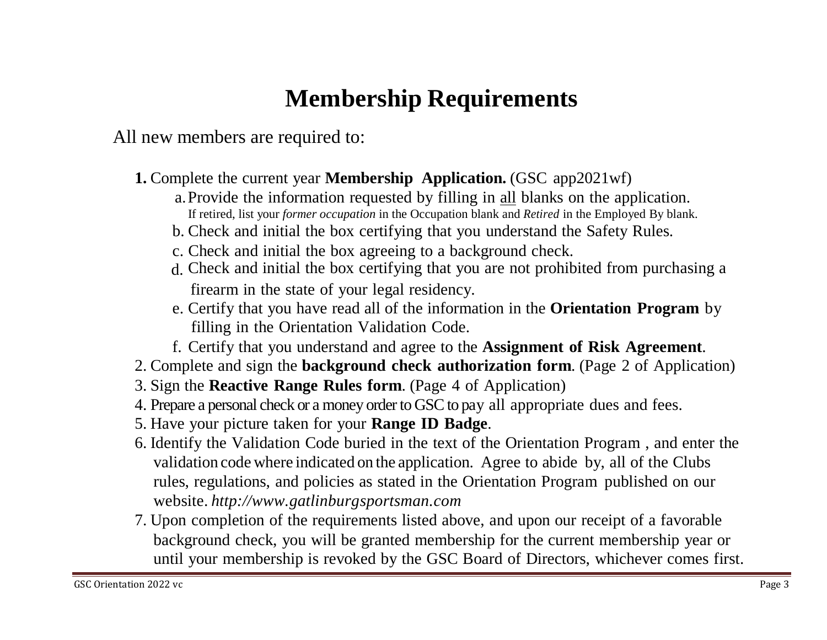# **Membership Requirements**

All new members are required to:

- **1.** Complete the current year **Membership Application.** (GSC app2021wf)
	- a.Provide the information requested by filling in all blanks on the application. If retired, list your *former occupation* in the Occupation blank and *Retired* in the Employed By blank.
	- b. Check and initial the box certifying that you understand the Safety Rules.
	- c. Check and initial the box agreeing to a background check.
	- d. Check and initial the box certifying that you are not prohibited from purchasing afirearm in the state of your legal residency.
	- e. Certify that you have read all of the information in the **Orientation Program** by filling in the Orientation Validation Code.
	- f. Certify that you understand and agree to the **Assignment of Risk Agreement**.
- 2. Complete and sign the **background check authorization form**. (Page 2 of Application)
- 3. Sign the **Reactive Range Rules form**. (Page 4 of Application)
- 4. Prepare a personal check or a money order to GSC to pay all appropriate dues and fees.
- 5. Have your picture taken for your **Range ID Badge**.
- 6. Identify the Validation Code buried in the text of the Orientation Program , and enter the validation code where indicated on the application. Agree to abide by, all of the Clubs rules, regulations, and policies as stated in the Orientation Program published on our website. *http://www.gatlinburgsportsman.com*
- 7. Upon completion of the requirements listed above, and upon our receipt of a favorable background check, you will be granted membership for the current membership year or until your membership is revoked by the GSC Board of Directors, whichever comes first.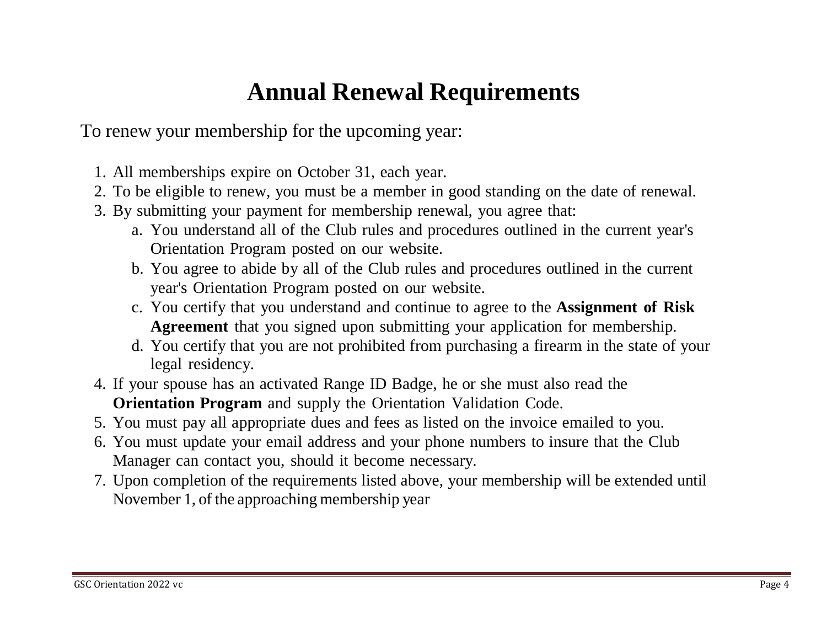### **Annual Renewal Requirements**

To renew your membership for the upcoming year:

- 1. All memberships expire on October 31, each year.
- 2. To be eligible to renew, you must be a member in good standing on the date of renewal.
- 3. By submitting your payment for membership renewal, you agree that:
	- a. You understand all of the Club rules and procedures outlined in the current year's Orientation Program posted on our website.
	- b. You agree to abide by all of the Club rules and procedures outlined in the current year's Orientation Program posted on our website.
	- c. You certify that you understand and continue to agree to the **Assignment of Risk Agreement** that you signed upon submitting your application for membership.
	- d. You certify that you are not prohibited from purchasing a firearm in the state of your legal residency.
- 4. If your spouse has an activated Range ID Badge, he or she must also read the **Orientation Program** and supply the Orientation Validation Code.
- 5. You must pay all appropriate dues and fees as listed on the invoice emailed to you.
- 6. You must update your email address and your phone numbers to insure that the Club Manager can contact you, should it become necessary.
- 7. Upon completion of the requirements listed above, your membership will be extended until November 1, of the approaching membership year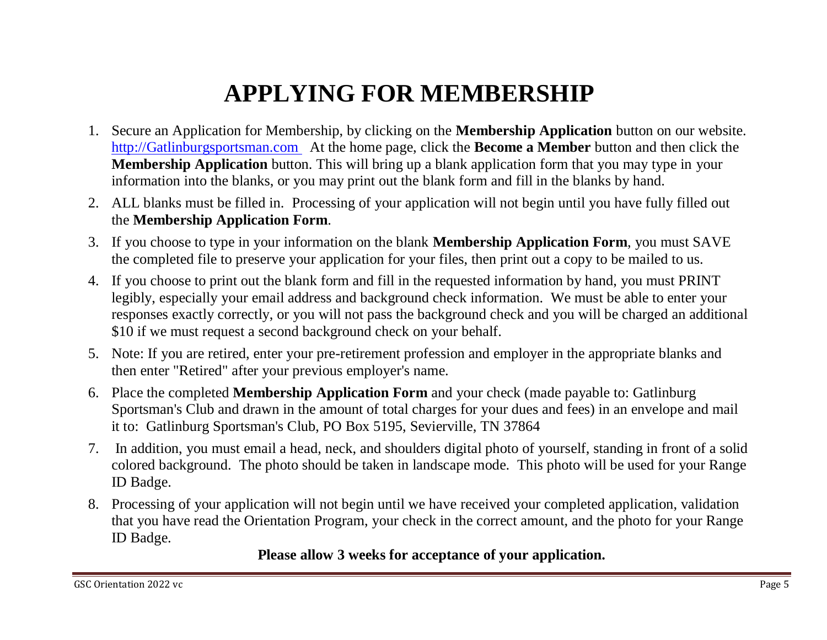# **APPLYING FOR MEMBERSHIP**

- 1. Secure an Application for Membership, by clicking on the **Membership Application** button on our website. [http://Gatlinburgsportsman.com](http://gatlinburgsportsman.com/) At the home page, click the **Become a Member** button and then click the **Membership Application** button. This will bring up a blank application form that you may type in your information into the blanks, or you may print out the blank form and fill in the blanks by hand.
- 2. ALL blanks must be filled in. Processing of your application will not begin until you have fully filled out the **Membership Application Form**.
- 3. If you choose to type in your information on the blank **Membership Application Form**, you must SAVE the completed file to preserve your application for your files, then print out a copy to be mailed to us.
- 4. If you choose to print out the blank form and fill in the requested information by hand, you must PRINT legibly, especially your email address and background check information. We must be able to enter your responses exactly correctly, or you will not pass the background check and you will be charged an additional \$10 if we must request a second background check on your behalf.
- 5. Note: If you are retired, enter your pre-retirement profession and employer in the appropriate blanks and then enter "Retired" after your previous employer's name.
- 6. Place the completed **Membership Application Form** and your check (made payable to: Gatlinburg Sportsman's Club and drawn in the amount of total charges for your dues and fees) in an envelope and mail it to: Gatlinburg Sportsman's Club, PO Box 5195, Sevierville, TN 37864
- 7. In addition, you must email a head, neck, and shoulders digital photo of yourself, standing in front of a solid colored background. The photo should be taken in landscape mode. This photo will be used for your Range ID Badge.
- 8. Processing of your application will not begin until we have received your completed application, validation that you have read the Orientation Program, your check in the correct amount, and the photo for your Range ID Badge.

**Please allow 3 weeks for acceptance of your application.**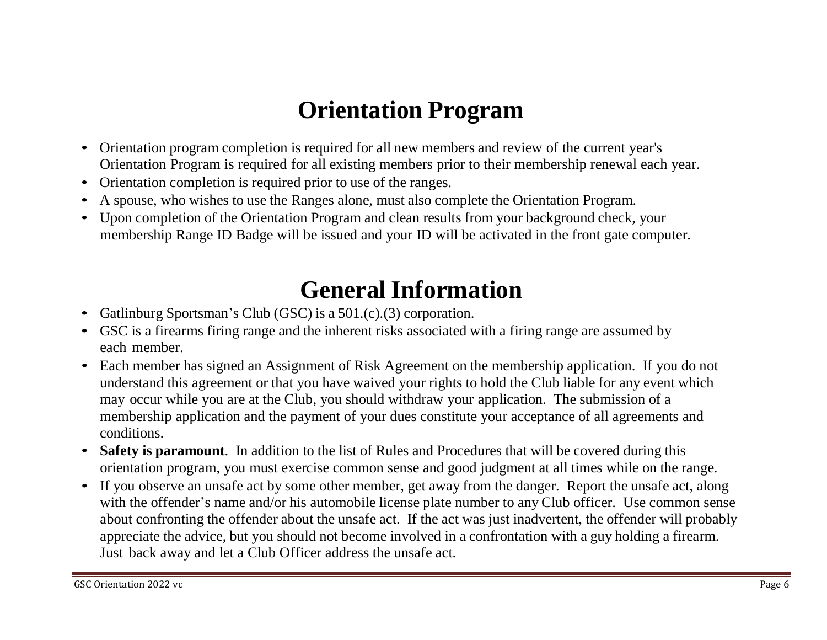### **Orientation Program**

- Orientation program completion is required for all new members and review of the current year's Orientation Program is required for all existing members prior to their membership renewal each year.
- Orientation completion is required prior to use of the ranges.
- A spouse, who wishes to use the Ranges alone, must also complete the Orientation Program.
- Upon completion of the Orientation Program and clean results from your background check, your membership Range ID Badge will be issued and your ID will be activated in the front gate computer.

#### **General Information**

- Gatlinburg Sportsman's Club (GSC) is a 501.(c).(3) corporation.
- GSC is a firearms firing range and the inherent risks associated with a firing range are assumed by each member.
- Each member has signed an Assignment of Risk Agreement on the membership application. If you do not understand this agreement or that you have waived your rights to hold the Club liable for any event which may occur while you are at the Club, you should withdraw your application. The submission of a membership application and the payment of your dues constitute your acceptance of all agreements and conditions.
- **Safety is paramount**. In addition to the list of Rules and Procedures that will be covered during this orientation program, you must exercise common sense and good judgment at all times while on the range.
- If you observe an unsafe act by some other member, get away from the danger. Report the unsafe act, along with the offender's name and/or his automobile license plate number to any Club officer. Use common sense about confronting the offender about the unsafe act. If the act was just inadvertent, the offender will probably appreciate the advice, but you should not become involved in a confrontation with a guy holding a firearm. Just back away and let a Club Officer address the unsafe act.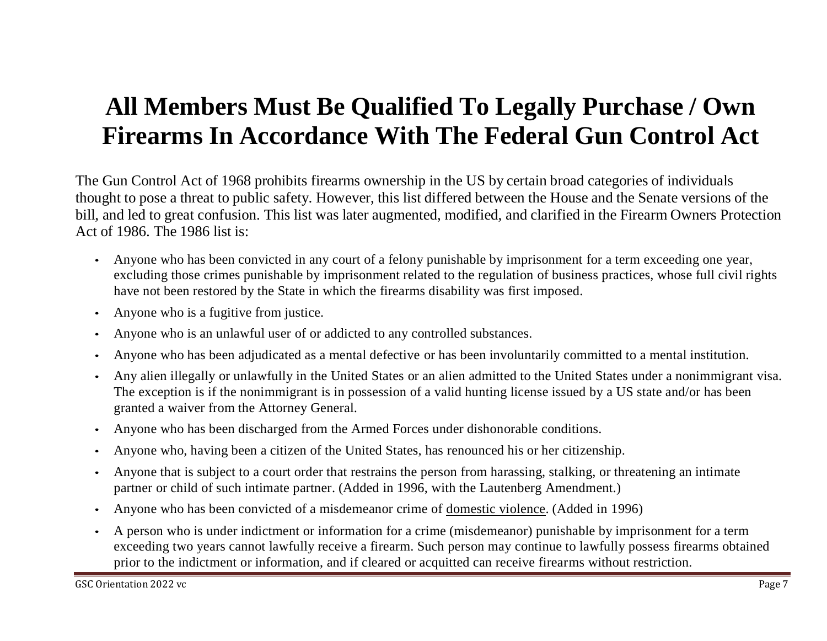#### **All Members Must Be Qualified To Legally Purchase / Own Firearms In Accordance With The Federal Gun Control Act**

The Gun Control Act of 1968 prohibits firearms ownership in the US by certain broad categories of individuals thought to pose a threat to public safety. However, this list differed between the House and the Senate versions of the bill, and led to great confusion. This list was later augmented, modified, and clarified in the Firearm Owners Protection Act of 1986. The 1986 list is:

- Anyone who has been convicted in any court of a felony punishable by imprisonment for a term exceeding one year, excluding those crimes punishable by imprisonment related to the regulation of business practices, whose full civil rights have not been restored by the State in which the firearms disability was first imposed.
- Anyone who is a fugitive from justice.
- Anyone who is an unlawful user of or addicted to any controlled substances.
- Anyone who has been adjudicated as a mental defective or has been involuntarily committed to a mental institution.
- Any alien illegally or unlawfully in the United States or an alien admitted to the United States under a nonimmigrant visa. The exception is if the nonimmigrant is in possession of a valid hunting license issued by a US state and/or has been granted a waiver from the Attorney General.
- Anyone who has been discharged from the Armed Forces under dishonorable conditions.
- Anyone who, having been a citizen of the United States, has renounced his or her citizenship.
- Anyone that is subject to a court order that restrains the person from harassing, stalking, or threatening an intimate partner or child of such intimate partner. (Added in 1996, with the Lautenberg Amendment.)
- Anyone who has been convicted of a misdemeanor crime of domestic violence. (Added in 1996)
- A person who is under indictment or information for a crime (misdemeanor) punishable by imprisonment for a term exceeding two years cannot lawfully receive a firearm. Such person may continue to lawfully possess firearms obtained prior to the indictment or information, and if cleared or acquitted can receive firearms without restriction.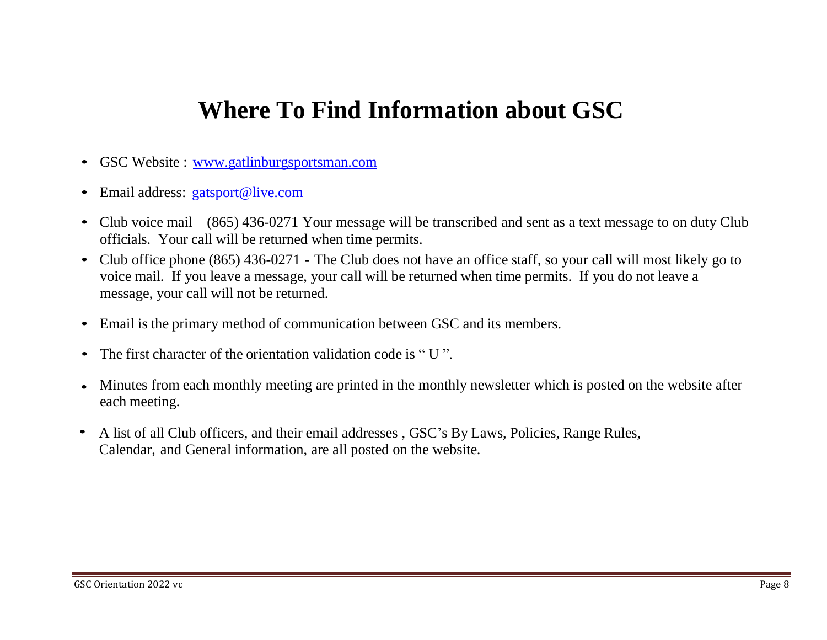#### **Where To Find Information about GSC**

- GSC Website : www.gatlinburgsportsman.com
- Email address: g[atsport@live.com](mailto:gatsport@live.com)
- Club voice mail (865) 436-0271 Your message will be transcribed and sent as a text message to on duty Club officials. Your call will be returned when time permits.
- Club office phone (865) 436-0271 The Club does not have an office staff, so your call will most likely go to voice mail. If you leave a message, your call will be returned when time permits. If you do not leave a message, your call will not be returned.
- Email is the primary method of communication between GSC and its members.
- The first character of the orientation validation code is "U".
- Minutes from each monthly meeting are printed in the monthly newsletter which is posted on the website after each meeting.
- A list of all Club officers, and their email addresses , GSC's By Laws, Policies, Range Rules, Calendar, and General information, are all posted on the website.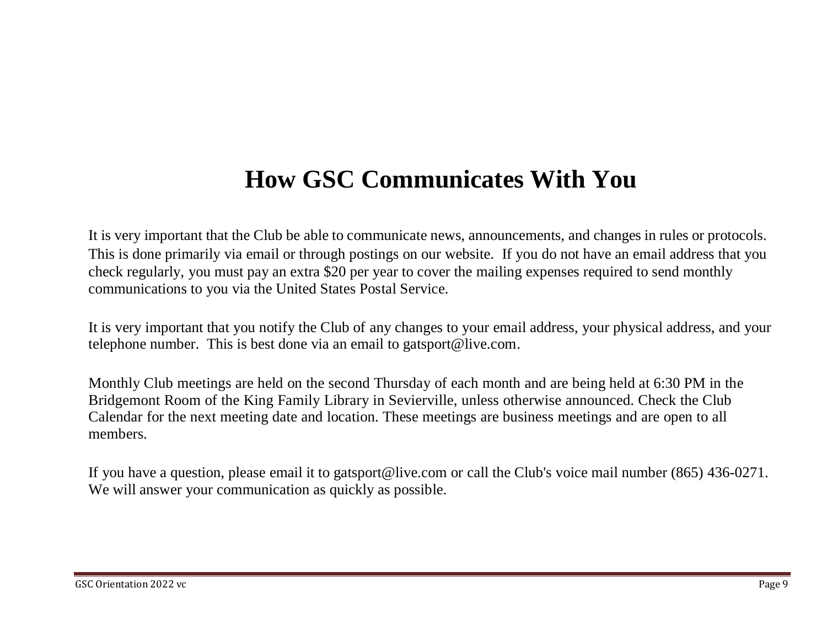#### **How GSC Communicates With You**

It is very important that the Club be able to communicate news, announcements, and changes in rules or protocols. This is done primarily via email or through postings on our website. If you do not have an email address that you check regularly, you must pay an extra \$20 per year to cover the mailing expenses required to send monthly communications to you via the United States Postal Service.

It is very important that you notify the Club of any changes to your email address, your physical address, and your telephone number. This is best done via an email to gatsport@live.com.

Monthly Club meetings are held on the second Thursday of each month and are being held at 6:30 PM in the Bridgemont Room of the King Family Library in Sevierville, unless otherwise announced. Check the Club Calendar for the next meeting date and location. These meetings are business meetings and are open to all members.

If you have a question, please email it to gatsport@live.com or call the Club's voice mail number (865) 436-0271. We will answer your communication as quickly as possible.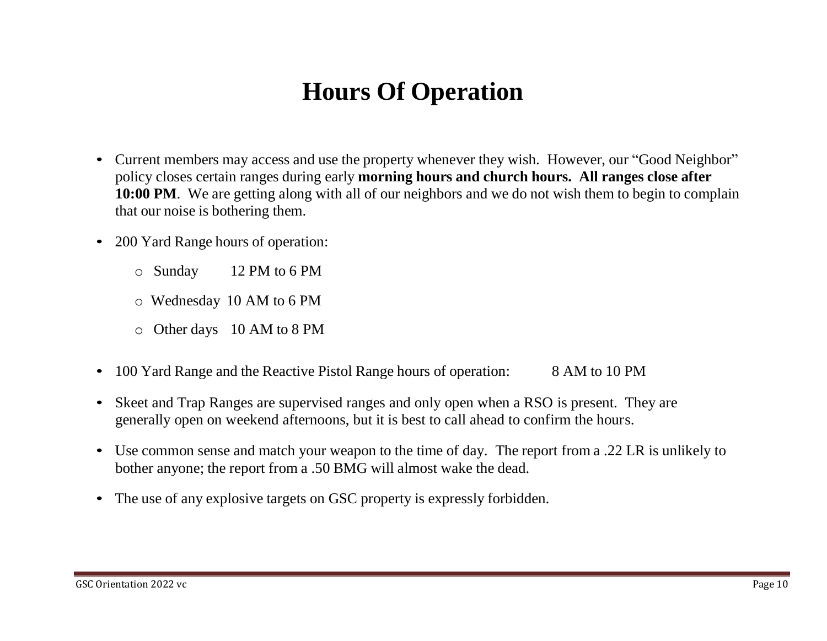### **Hours Of Operation**

- Current members may access and use the property whenever they wish. However, our "Good Neighbor" policy closes certain ranges during early **morning hours and church hours. All ranges close after 10:00 PM**. We are getting along with all of our neighbors and we do not wish them to begin to complain that our noise is bothering them.
- 200 Yard Range hours of operation:
	- o Sunday 12 PM to 6 PM
	- o Wednesday 10 AM to 6 PM
	- o Other days 10 AM to 8 PM
- 100 Yard Range and the Reactive Pistol Range hours of operation: 8 AM to 10 PM
- Skeet and Trap Ranges are supervised ranges and only open when a RSO is present. They are generally open on weekend afternoons, but it is best to call ahead to confirm the hours.
- Use common sense and match your weapon to the time of day. The report from a .22 LR is unlikely to bother anyone; the report from a .50 BMG will almost wake the dead.
- The use of any explosive targets on GSC property is expressly forbidden.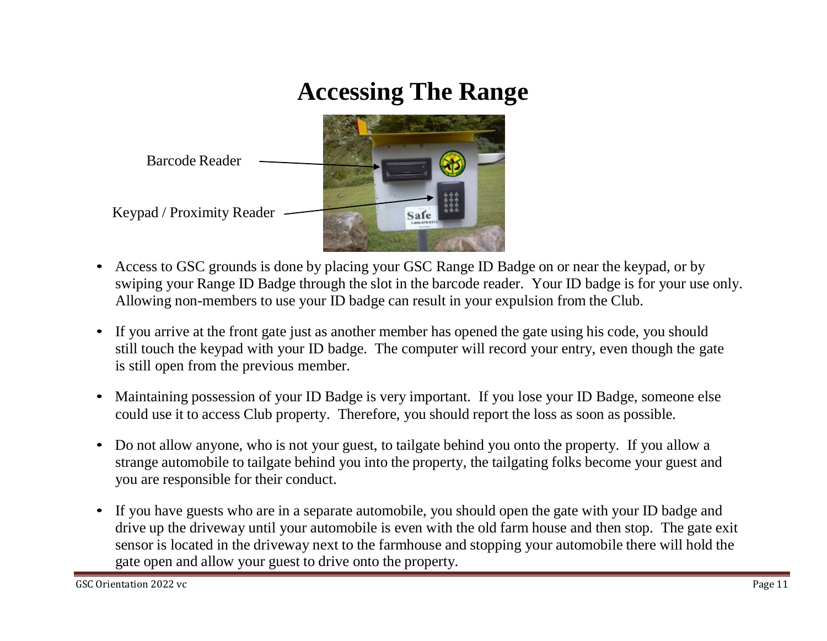### **Accessing The Range**



- Access to GSC grounds is done by placing your GSC Range ID Badge on or near the keypad, or by swiping your Range ID Badge through the slot in the barcode reader. Your ID badge is for your use only. Allowing non-members to use your ID badge can result in your expulsion from the Club.
- If you arrive at the front gate just as another member has opened the gate using his code, you should still touch the keypad with your ID badge. The computer will record your entry, even though the gate is still open from the previous member.
- Maintaining possession of your ID Badge is very important. If you lose your ID Badge, someone else could use it to access Club property. Therefore, you should report the loss as soon as possible.
- Do not allow anyone, who is not your guest, to tailgate behind you onto the property. If you allow a strange automobile to tailgate behind you into the property, the tailgating folks become your guest and you are responsible for their conduct.
- If you have guests who are in a separate automobile, you should open the gate with your ID badge and drive up the driveway until your automobile is even with the old farm house and then stop. The gate exit sensor is located in the driveway next to the farmhouse and stopping your automobile there will hold the gate open and allow your guest to drive onto the property.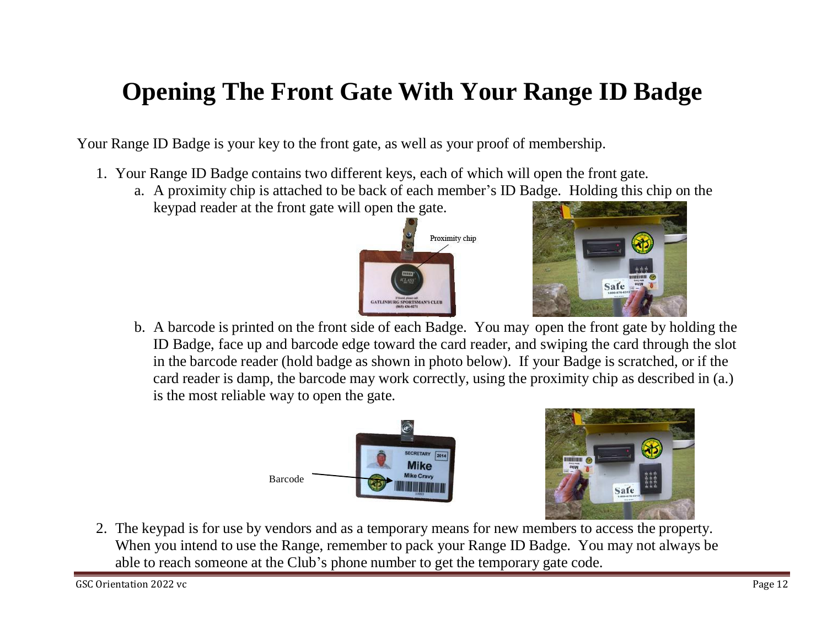### **Opening The Front Gate With Your Range ID Badge**

Your Range ID Badge is your key to the front gate, as well as your proof of membership.

- 1. Your Range ID Badge contains two different keys, each of which will open the front gate.
	- a. A proximity chip is attached to be back of each member's ID Badge. Holding this chip on the keypad reader at the front gate will open the gate.





b. A barcode is printed on the front side of each Badge. You may open the front gate by holding the ID Badge, face up and barcode edge toward the card reader, and swiping the card through the slot in the barcode reader (hold badge as shown in photo below). If your Badge is scratched, or if the card reader is damp, the barcode may work correctly, using the proximity chip as described in (a.) is the most reliable way to open the gate.





2. The keypad is for use by vendors and as a temporary means for new members to access the property. When you intend to use the Range, remember to pack your Range ID Badge. You may not always be able to reach someone at the Club's phone number to get the temporary gate code.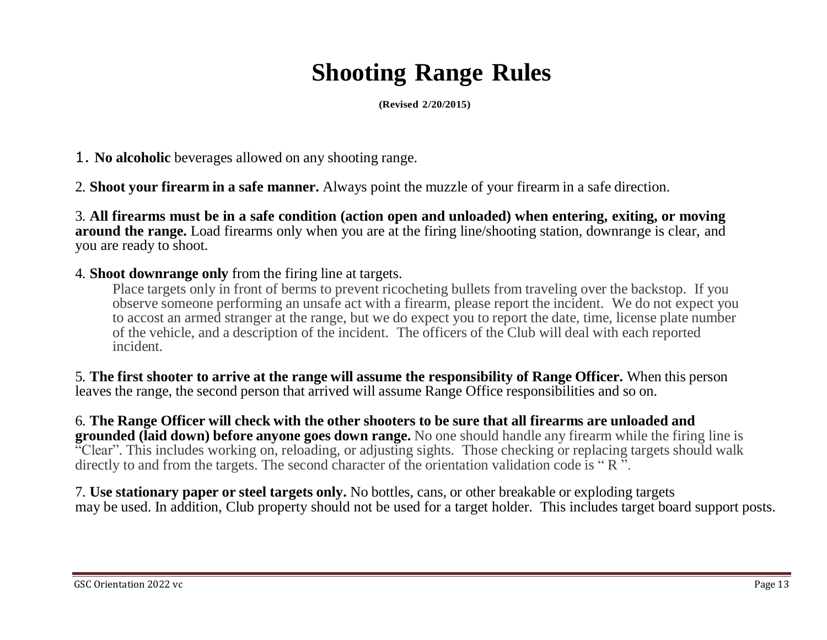# **Shooting Range Rules**

**(Revised 2/20/2015)**

- 1. **No alcoholic** beverages allowed on any shooting range.
- 2. **Shoot your firearm in a safe manner.** Always point the muzzle of your firearm in a safe direction.

3. **All firearms must be in a safe condition (action open and unloaded) when entering, exiting, or moving around the range.** Load firearms only when you are at the firing line/shooting station, downrange is clear, and you are ready to shoot.

4. **Shoot downrange only** from the firing line at targets.

Place targets only in front of berms to prevent ricocheting bullets from traveling over the backstop. If you observe someone performing an unsafe act with a firearm, please report the incident. We do not expect you to accost an armed stranger at the range, but we do expect you to report the date, time, license plate number of the vehicle, and a description of the incident. The officers of the Club will deal with each reported incident.

5. **The first shooter to arrive at the range will assume the responsibility of Range Officer.** When this person leaves the range, the second person that arrived will assume Range Office responsibilities and so on.

#### 6. The Range Officer will check with the other shooters to be sure that all firearms are unloaded and

**grounded (laid down) before anyone goes down range.** No one should handle any firearm while the firing line is "Clear". This includes working on, reloading, or adjusting sights. Those checking or replacing targets should walk directly to and from the targets. The second character of the orientation validation code is "R<sup>3</sup>".

7. **Use stationary paper or steel targets only.** No bottles, cans, or other breakable or exploding targets may be used. In addition, Club property should not be used for a target holder. This includes target board support posts.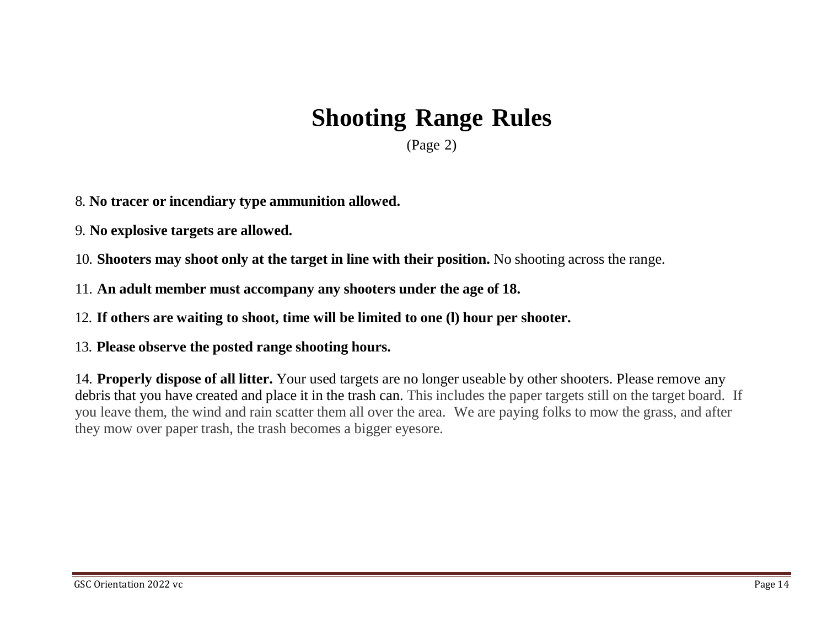### **Shooting Range Rules**

(Page 2)

8. **No tracer or incendiary type ammunition allowed.**

9. **No explosive targets are allowed.**

10. **Shooters may shoot only at the target in line with their position.** No shooting across the range.

11. **An adult member must accompany any shooters under the age of 18.**

12. **If others are waiting to shoot, time will be limited to one (l) hour per shooter.**

13. **Please observe the posted range shooting hours.**

14. **Properly dispose of all litter.** Your used targets are no longer useable by other shooters. Please remove anydebris that you have created and place it in the trash can. This includes the paper targets still on the target board. If you leave them, the wind and rain scatter them all over the area. We are paying folks to mow the grass, and after they mow over paper trash, the trash becomes a bigger eyesore.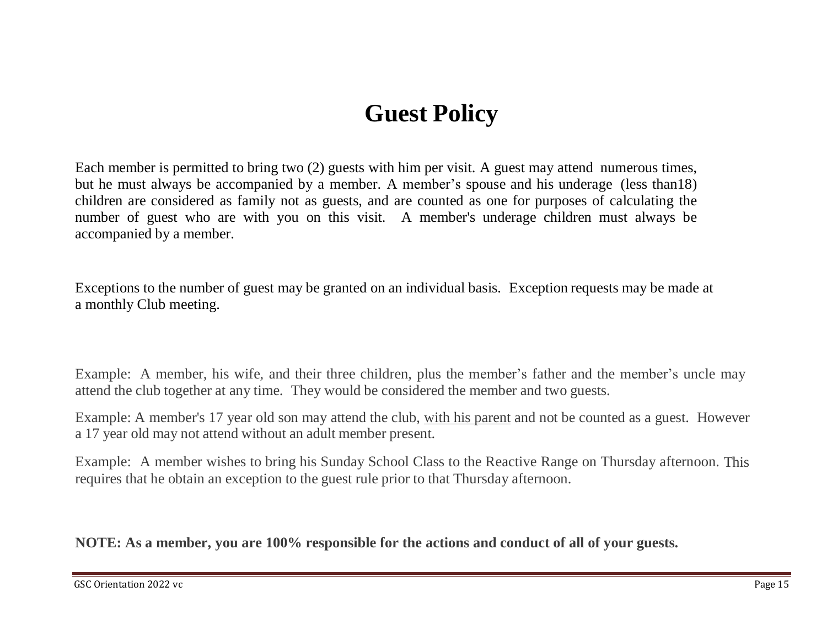#### **Guest Policy**

Each member is permitted to bring two (2) guests with him per visit. A guest may attend numerous times, but he must always be accompanied by a member. A member's spouse and his underage (less than18) children are considered as family not as guests, and are counted as one for purposes of calculating the number of guest who are with you on this visit. A member's underage children must always be accompanied by a member.

Exceptions to the number of guest may be granted on an individual basis. Exception requests may be made at a monthly Club meeting.

Example: A member, his wife, and their three children, plus the member's father and the member's uncle may attend the club together at any time. They would be considered the member and two guests.

Example: A member's 17 year old son may attend the club, with his parent and not be counted as a guest. However a 17 year old may not attend without an adult member present.

Example: A member wishes to bring his Sunday School Class to the Reactive Range on Thursday afternoon. Thisrequires that he obtain an exception to the guest rule prior to that Thursday afternoon.

**NOTE: As a member, you are 100% responsible for the actions and conduct of all of your guests.**

GSC Orientation 2022 vc Page 15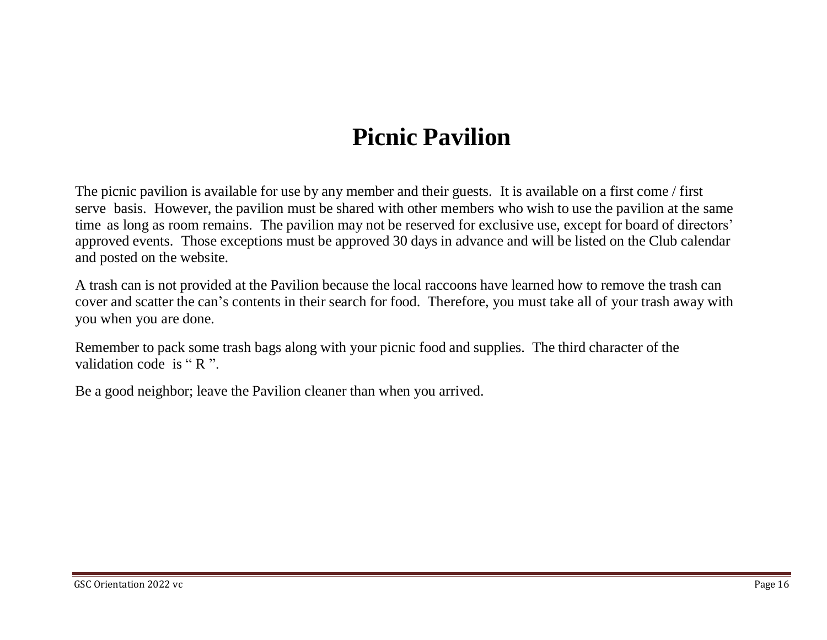### **Picnic Pavilion**

The picnic pavilion is available for use by any member and their guests. It is available on a first come / first time as long as room remains. The pavilion may not be reserved for exclusive use, except for board of directors' approved events. Those exceptions must be approved 30 days in advance and will be listed on the Club calendar and posted on the website. serve basis. However, the pavilion must be shared with other members who wish to use the pavilion at the same

A trash can is not provided at the Pavilion because the local raccoons have learned how to remove the trash can cover and scatter the can's contents in their search for food. Therefore, you must take all of your trash away with you when you are done.

Remember to pack some trash bags along with your picnic food and supplies. The third character of the validation code is "R".

Be a good neighbor; leave the Pavilion cleaner than when you arrived.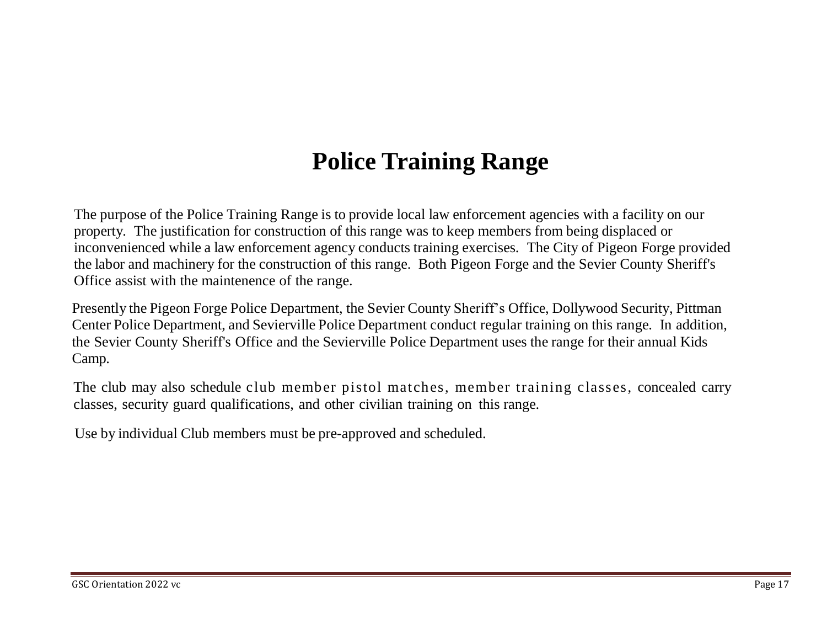### **Police Training Range**

The purpose of the Police Training Range is to provide local law enforcement agencies with a facility on our property. The justification for construction of this range was to keep members from being displaced or inconvenienced while a law enforcement agency conducts training exercises. The City of Pigeon Forge provided the labor and machinery for the construction of this range. Both Pigeon Forge and the Sevier County Sheriff's Office assist with the maintenence of the range.

Presently the Pigeon Forge Police Department, the Sevier County Sheriff's Office, Dollywood Security, Pittman Center Police Department, and Sevierville Police Department conduct regular training on this range. In addition, the Sevier County Sheriff's Office and the Sevierville Police Department uses the range for their annual Kids Camp.

The club may also schedule club member pistol matches, member training classes, concealed carry classes, security guard qualifications, and other civilian training on this range.

Use by individual Club members must be pre-approved and scheduled.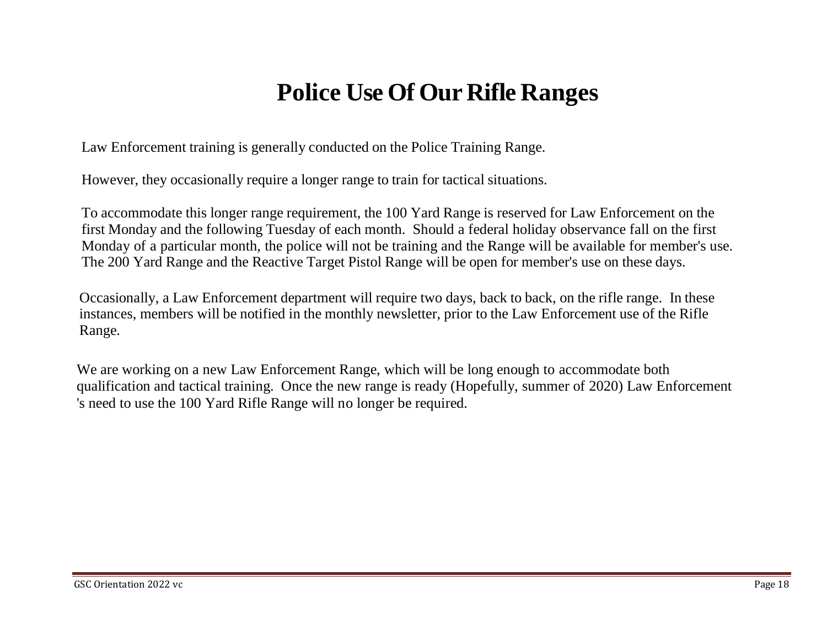#### **Police Use Of Our Rifle Ranges**

Law Enforcement training is generally conducted on the Police Training Range.

However, they occasionally require a longer range to train for tactical situations.

To accommodate this longer range requirement, the 100 Yard Range is reserved for Law Enforcement on the first Monday and the following Tuesday of each month. Should a federal holiday observance fall on the first Monday of a particular month, the police will not be training and the Range will be available for member's use. The 200 Yard Range and the Reactive Target Pistol Range will be open for member's use on these days.

Occasionally, a Law Enforcement department will require two days, back to back, on the rifle range. In these instances, members will be notified in the monthly newsletter, prior to the Law Enforcement use of the Rifle Range.

We are working on a new Law Enforcement Range, which will be long enough to accommodate both qualification and tactical training. Once the new range is ready (Hopefully, summer of 2020) Law Enforcement 's need to use the 100 Yard Rifle Range will no longer be required.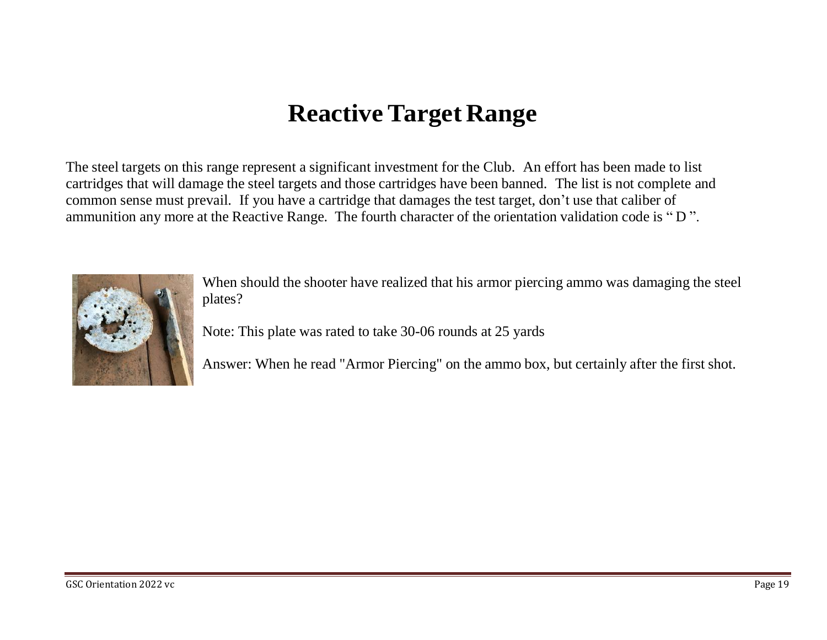#### **Reactive Target Range**

The steel targets on this range represent a significant investment for the Club. An effort has been made to list cartridges that will damage the steel targets and those cartridges have been banned. The list is not complete andcommon sense must prevail. If you have a cartridge that damages the test target, don't use that caliber of ammunition any more at the Reactive Range. The fourth character of the orientation validation code is " D ".



When should the shooter have realized that his armor piercing ammo was damaging the steel plates?

Note: This plate was rated to take 30-06 rounds at 25 yards

Answer: When he read "Armor Piercing" on the ammo box, but certainly after the first shot.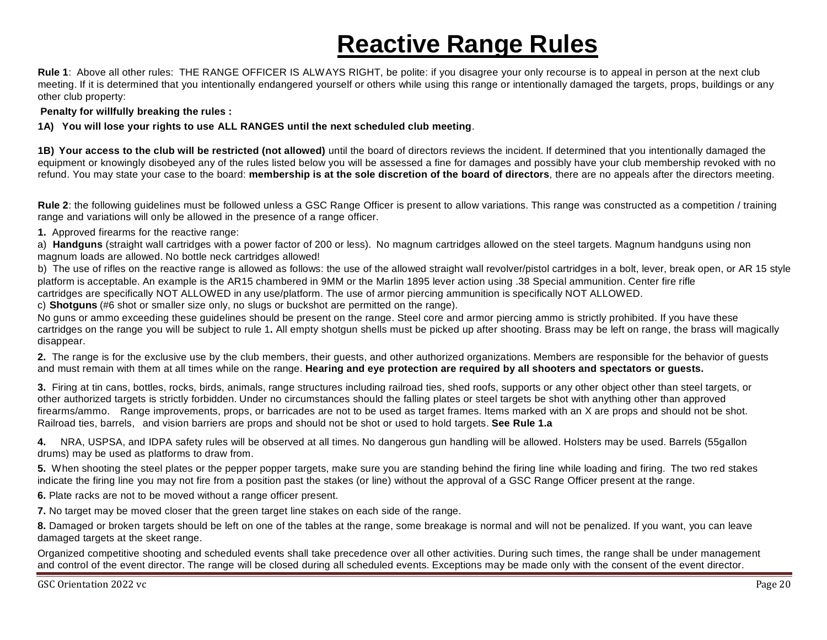# **Reactive Range Rules**

**Rule 1**: Above all other rules: THE RANGE OFFICER IS ALWAYS RIGHT, be polite: if you disagree your only recourse is to appeal in person at the next club meeting. If it is determined that you intentionally endangered yourself or others while using this range or intentionally damaged the targets, props, buildings or any other club property:

**Penalty for willfully breaking the rules :**

#### **1A) You will lose your rights to use ALL RANGES until the next scheduled club meeting**.

**1B) Your access to the club will be restricted (not allowed)** until the board of directors reviews the incident. If determined that you intentionally damaged the equipment or knowingly disobeyed any of the rules listed below you will be assessed a fine for damages and possibly have your club membership revoked with no refund. You may state your case to the board: **membership is at the sole discretion of the board of directors**, there are no appeals after the directors meeting.

**Rule 2**: the following guidelines must be followed unless a GSC Range Officer is present to allow variations. This range was constructed as a competition / training range and variations will only be allowed in the presence of a range officer.

**1.** Approved firearms for the reactive range:

a) **Handguns** (straight wall cartridges with a power factor of 200 or less). No magnum cartridges allowed on the steel targets. Magnum handguns using non magnum loads are allowed. No bottle neck cartridges allowed!

b) The use of rifles on the reactive range is allowed as follows: the use of the allowed straight wall revolver/pistol cartridges in a bolt, lever, break open, or AR 15 style platform is acceptable. An example is the AR15 chambered in 9MM or the Marlin 1895 lever action using .38 Special ammunition. Center fire rifle cartridges are specifically NOT ALLOWED in any use/platform. The use of armor piercing ammunition is specifically NOT ALLOWED.

c) **Shotguns** (#6 shot or smaller size only, no slugs or buckshot are permitted on the range).

No guns or ammo exceeding these guidelines should be present on the range. Steel core and armor piercing ammo is strictly prohibited. If you have these cartridges on the range you will be subject to rule 1**.** All empty shotgun shells must be picked up after shooting. Brass may be left on range, the brass will magically disappear.

**2.** The range is for the exclusive use by the club members, their guests, and other authorized organizations. Members are responsible for the behavior of guests and must remain with them at all times while on the range. **Hearing and eye protection are required by all shooters and spectators or guests.**

**3.** Firing at tin cans, bottles, rocks, birds, animals, range structures including railroad ties, shed roofs, supports or any other object other than steel targets, or other authorized targets is strictly forbidden. Under no circumstances should the falling plates or steel targets be shot with anything other than approved firearms/ammo. Range improvements, props, or barricades are not to be used as target frames. Items marked with an X are props and should not be shot. Railroad ties, barrels, and vision barriers are props and should not be shot or used to hold targets. **See Rule 1.a**

**4.** NRA, USPSA, and IDPA safety rules will be observed at all times. No dangerous gun handling will be allowed. Holsters may be used. Barrels (55gallon drums) may be used as platforms to draw from.

**5.** When shooting the steel plates or the pepper popper targets, make sure you are standing behind the firing line while loading and firing. The two red stakes indicate the firing line you may not fire from a position past the stakes (or line) without the approval of a GSC Range Officer present at the range.

**6.** Plate racks are not to be moved without a range officer present.

**7.** No target may be moved closer that the green target line stakes on each side of the range.

**8.** Damaged or broken targets should be left on one of the tables at the range, some breakage is normal and will not be penalized. If you want, you can leave damaged targets at the skeet range.

Organized competitive shooting and scheduled events shall take precedence over all other activities. During such times, the range shall be under management and control of the event director. The range will be closed during all scheduled events. Exceptions may be made only with the consent of the event director.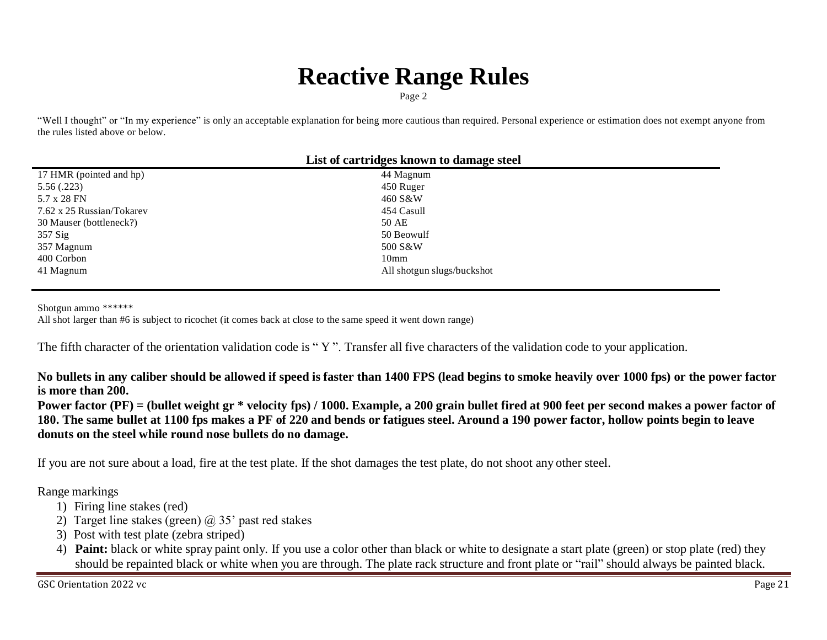### **Reactive Range Rules**

Page 2

"Well I thought" or "In my experience" is only an acceptable explanation for being more cautious than required. Personal experience or estimation does not exempt anyone from the rules listed above or below.

| List of cartridges known to damage steel |                            |  |
|------------------------------------------|----------------------------|--|
| 17 HMR (pointed and hp)                  | 44 Magnum                  |  |
| 5.56(.223)                               | 450 Ruger                  |  |
| 5.7 x 28 FN                              | 460 S&W                    |  |
| 7.62 x 25 Russian/Tokarev                | 454 Casull                 |  |
| 30 Mauser (bottleneck?)                  | 50 AE                      |  |
| 357 Sig                                  | 50 Beowulf                 |  |
| 357 Magnum                               | 500 S&W                    |  |
| 400 Corbon                               | 10 <sub>mm</sub>           |  |
| 41 Magnum                                | All shotgun slugs/buckshot |  |
|                                          |                            |  |

Shotgun ammo \*\*\*\*\*\*

All shot larger than #6 is subject to ricochet (it comes back at close to the same speed it went down range)

The fifth character of the orientation validation code is "Y". Transfer all five characters of the validation code to your application.

No bullets in any caliber should be allowed if speed is faster than 1400 FPS (lead begins to smoke heavily over 1000 fps) or the power factor **is more than 200.**

Power factor (PF) = (bullet weight gr \* velocity fps) / 1000. Example, a 200 grain bullet fired at 900 feet per second makes a power factor of 180. The same bullet at 1100 fps makes a PF of 220 and bends or fatigues steel. Around a 190 power factor, hollow points begin to leave **donuts on the steel while round nose bullets do no damage.**

If you are not sure about a load, fire at the test plate. If the shot damages the test plate, do not shoot any other steel.

Range markings

- 1) Firing line stakes (red)
- 2) Target line stakes (green)  $\omega$  35' past red stakes
- 3) Post with test plate (zebra striped)
- 4) **Paint:** black or white spray paint only. If you use a color other than black or white to designate a start plate (green) or stop plate (red) they should be repainted black or white when you are through. The plate rack structure and front plate or "rail" should always be painted black.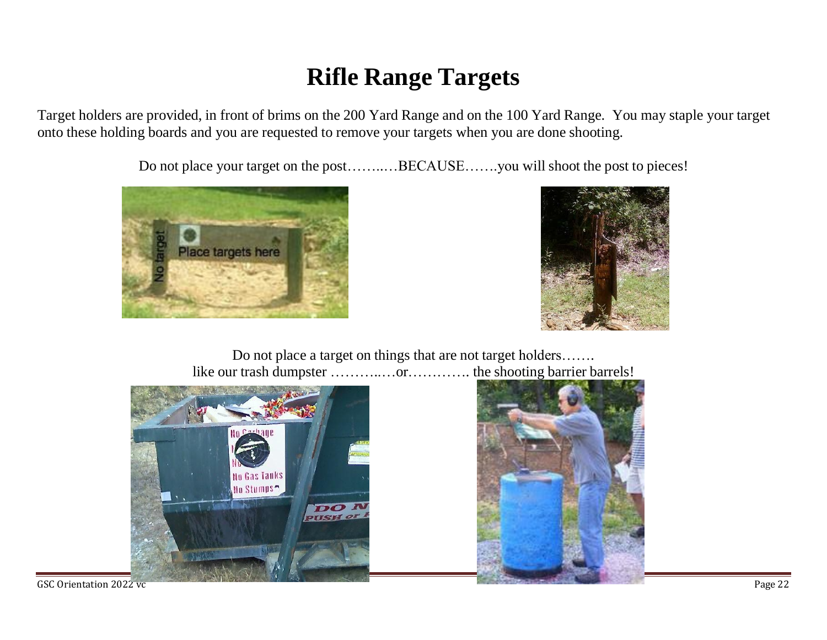### **Rifle Range Targets**

Target holders are provided, in front of brims on the 200 Yard Range and on the 100 Yard Range. You may staple your target onto these holding boards and you are requested to remove your targets when you are done shooting.

Do not place your target on the post……..…BECAUSE…….you will shoot the post to pieces!





Do not place a target on things that are not target holders……. like our trash dumpster …………...or………….. the shooting barrier barrels!





GSC Orientation 2022 vc Page 22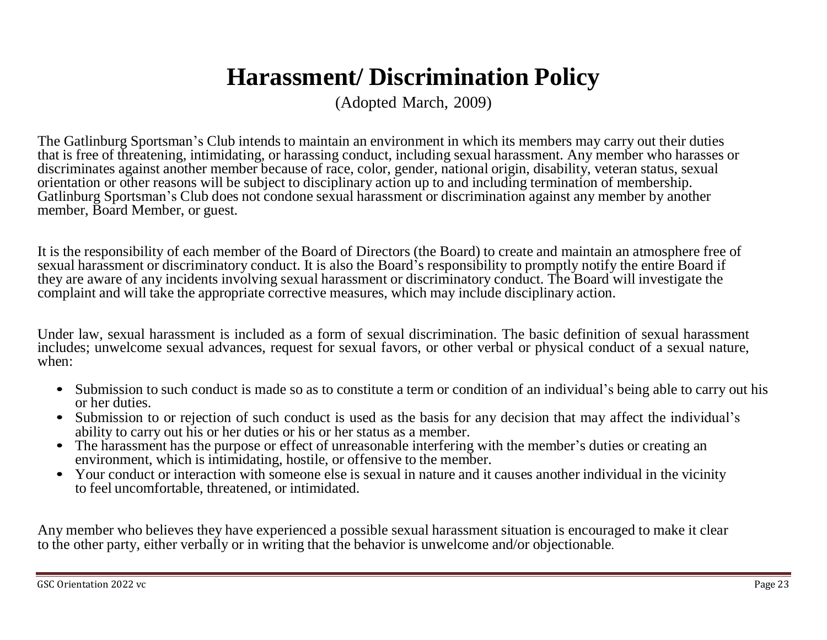### **Harassment/ Discrimination Policy**

(Adopted March, 2009)

The Gatlinburg Sportsman's Club intends to maintain an environment in which its members may carry out their duties that is free of threatening, intimidating, or harassing conduct, including sexual harassment. Any member who harasses or discriminates against another member because of race, color, gender, national origin, disability, veteran status, sexual orientation or other reasons will be subject to disciplinary action up to and including termination of membership. Gatlinburg Sportsman's Club does not condone sexual harassment or discrimination against any member by another member, Board Member, or guest.

It is the responsibility of each member of the Board of Directors (the Board) to create and maintain an atmosphere free of sexual harassment or discriminatory conduct. It is also the Board's responsibility to promptly notify the entire Board if they are aware of any incidents involving sexual harassment or discriminatory conduct. The Board will investigate the complaint and will take the appropriate corrective measures, which may include disciplinary action.

Under law, sexual harassment is included as a form of sexual discrimination. The basic definition of sexual harassment includes; unwelcome sexual advances, request for sexual favors, or other verbal or physical conduct of a sexual nature, when:

- Submission to such conduct is made so as to constitute a term or condition of an individual's being able to carry out his or her duties.
- **•** Submission to or rejection of such conduct is used as the basis for any decision that may affect the individual's ability to carry out his or her duties or his or her status as a member.
- The harassment has the purpose or effect of unreasonable interfering with the member's duties or creating an environment, which is intimidating, hostile, or offensive to the member.
- Your conduct or interaction with someone else is sexual in nature and it causes another individual in the vicinity to feel uncomfortable, threatened, or intimidated.

Any member who believes they have experienced a possible sexual harassment situation is encouraged to make it clear to the other party, either verbally or in writing that the behavior is unwelcome and/or objectionable.